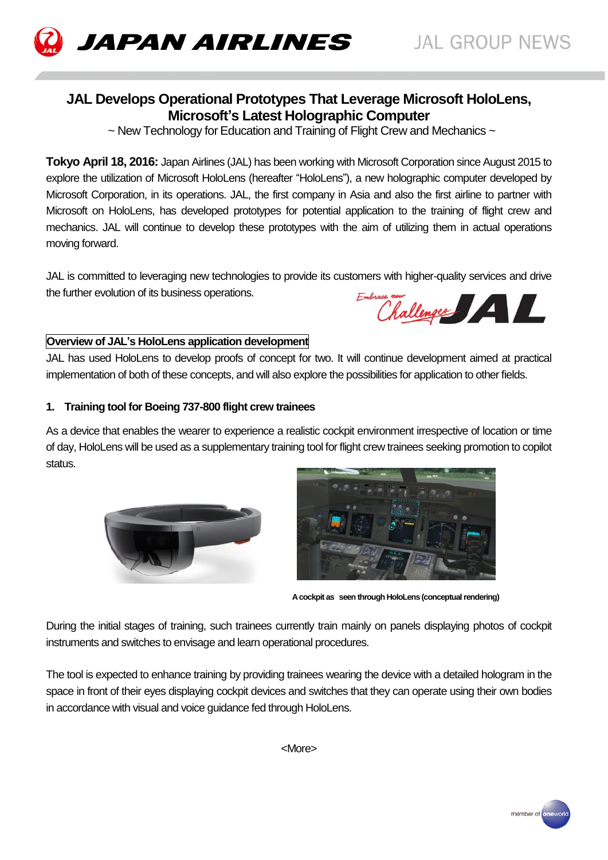

# **JAPAN AIRLINES**

## **JAL Develops Operational Prototypes That Leverage Microsoft HoloLens, Microsoft's Latest Holographic Computer**

 $\sim$  New Technology for Education and Training of Flight Crew and Mechanics  $\sim$ 

**Tokyo April 18, 2016:** Japan Airlines (JAL) has been working with Microsoft Corporation since August 2015 to explore the utilization of Microsoft HoloLens (hereafter "HoloLens"), a new holographic computer developed by Microsoft Corporation, in its operations. JAL, the first company in Asia and also the first airline to partner with Microsoft on HoloLens, has developed prototypes for potential application to the training of flight crew and mechanics. JAL will continue to develop these prototypes with the aim of utilizing them in actual operations moving forward.

JAL is committed to leveraging new technologies to provide its customers with higher-quality services and drive the further evolution of its business operations. Embrace mur Challenger

### **Overview of JAL's HoloLens application development**

JAL has used HoloLens to develop proofs of concept for two. It will continue development aimed at practical implementation of both of these concepts, and will also explore the possibilities for application to other fields.

#### **1. Training tool for Boeing 737-800 flight crew trainees**

As a device that enables the wearer to experience a realistic cockpit environment irrespective of location or time of day, HoloLens will be used as a supplementary training tool for flight crew trainees seeking promotion to copilot status.





 **A cockpit as seen through HoloLens (conceptual rendering)**

During the initial stages of training, such trainees currently train mainly on panels displaying photos of cockpit instruments and switches to envisage and learn operational procedures.

The tool is expected to enhance training by providing trainees wearing the device with a detailed hologram in the space in front of their eyes displaying cockpit devices and switches that they can operate using their own bodies in accordance with visual and voice guidance fed through HoloLens.

<More>